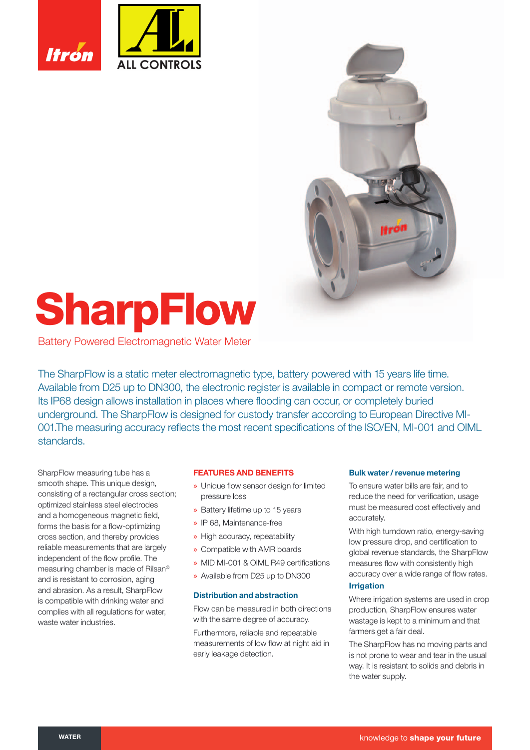



# **SharpFlow**

Battery Powered Electromagnetic Water Meter

The SharpFlow is a static meter electromagnetic type, battery powered with 15 years life time. Available from D25 up to DN300, the electronic register is available in compact or remote version. Its IP68 design allows installation in places where flooding can occur, or completely buried underground. The SharpFlow is designed for custody transfer according to European Directive MI-001. The measuring accuracy reflects the most recent specifications of the ISO/EN, MI-001 and OIML standards.

SharpFlow measuring tube has a smooth shape. This unique design, consisting of a rectangular cross section; optimized stainless steel electrodes and a homogeneous magnetic field, forms the basis for a flow-optimizing cross section, and thereby provides reliable measurements that are largely independent of the flow profile. The measuring chamber is made of Rilsan® and is resistant to corrosion, aging and abrasion. As a result, SharpFlow is compatible with drinking water and complies with all regulations for water, waste water industries.

# **FEATURES AND BENEFITS**

- » Unique flow sensor design for limited pressure loss
- » Battery lifetime up to 15 years
- » IP 68, Maintenance-free
- » High accuracy, repeatability
- » Compatible with AMR boards
- » MID MI-001 & OIML R49 certifications
- » Available from D25 up to DN300

# **Distribution and abstraction**

Flow can be measured in both directions with the same degree of accuracy.

Furthermore, reliable and repeatable measurements of low flow at night aid in early leakage detection.

### **Bulk water / revenue metering**

To ensure water bills are fair, and to reduce the need for verification, usage must be measured cost effectively and accurately.

With high turndown ratio, energy-saving low pressure drop, and certification to global revenue standards, the SharpFlow measures flow with consistently high accuracy over a wide range of flow rates.

# **Irrigation**

Where irrigation systems are used in crop production, SharpFlow ensures water wastage is kept to a minimum and that farmers get a fair deal.

The SharpFlow has no moving parts and is not prone to wear and tear in the usual way. It is resistant to solids and debris in the water supply.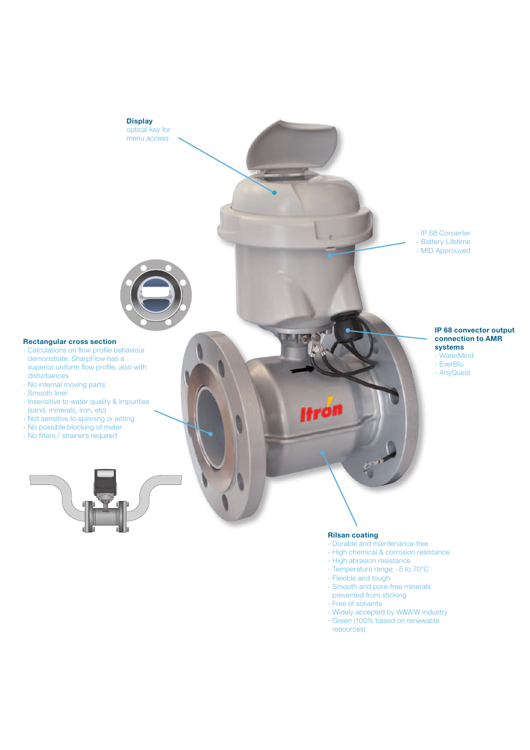

#### **Rilsan coating**

- Durable and maintenance-free
- High chemical & corrosion resistance
- High abrasion resistance
- Temperature range: -5 to 70°C
- Flexible and tough
- Smooth and pore-free minerals prevented from sticking
- Free of solvents
- Widely accepted by W&WW industry
- Green (100% based on renewable resources)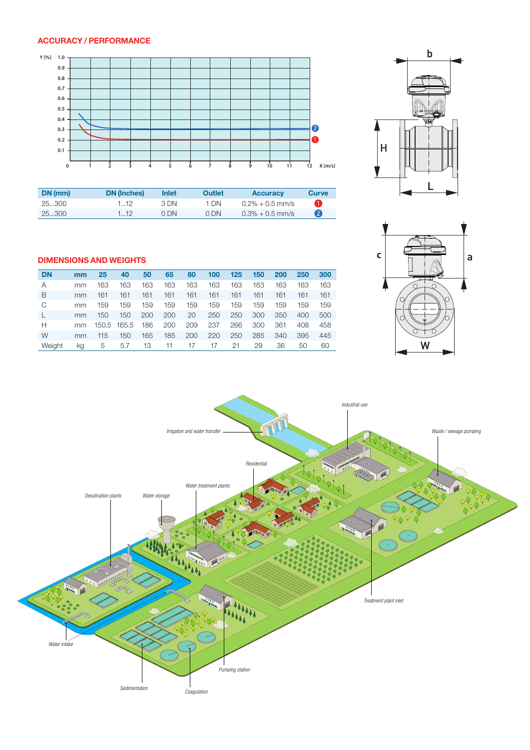# **ACCURACY / PERFORMANCE**



| DN (mm) | <b>DN</b> (Inches) | Inlet | <b>Outlet</b> | <b>Accuracy</b>    | <b>Curve</b> |
|---------|--------------------|-------|---------------|--------------------|--------------|
| 25300   | 112                | 3 DN  | 1 DN          | $0.2\% + 0.5$ mm/s |              |
| 25.300  | .  12              | 0 DN  | .) DN         | $0.3\% + 0.5$ mm/s |              |





# **DIMENSIONS AND WEIGHTS**

| <b>DN</b> | mm | 25    | 40    | 50  | 65  | 80  | 100 | 125 | 150 | 200 | 250 | 300 |
|-----------|----|-------|-------|-----|-----|-----|-----|-----|-----|-----|-----|-----|
| Α         | mm | 163   | 163   | 163 | 163 | 163 | 163 | 163 | 163 | 163 | 163 | 163 |
| В         | mm | 161   | 161   | 161 | 161 | 161 | 161 | 161 | 161 | 161 | 161 | 161 |
| C         | mm | 159   | 159   | 159 | 159 | 159 | 159 | 159 | 159 | 159 | 159 | 159 |
|           | mm | 150   | 150   | 200 | 200 | 20  | 250 | 250 | 300 | 350 | 400 | 500 |
| н         | mm | 150.5 | 165.5 | 186 | 200 | 209 | 237 | 266 | 300 | 361 | 408 | 458 |
| W         | mm | 115   | 150   | 165 | 185 | 200 | 220 | 250 | 285 | 340 | 395 | 445 |
| Weight    | kg | 5     | 5.7   | 13  | 11  | 17  | 17  | 21  | 29  | 36  | 50  | 60  |